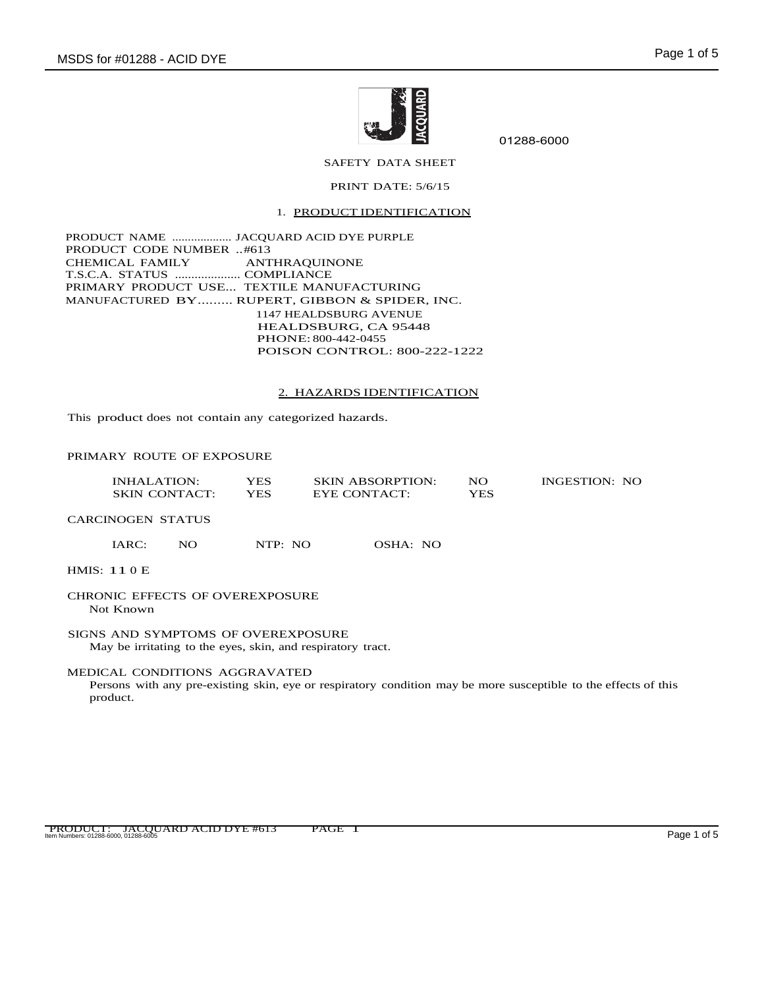

01288-6000

SAFETY DATA SHEET

### PRINT DATE: 5/6/15

# 1. PRODUCT IDENTIFICATION

PRODUCT NAME ................... JACQUARD ACID DYE PURPLE PRODUCT CODE NUMBER ..#613 CHEMICAL FAMILY ANTHRAQUINONE T.S.C.A. STATUS .................... COMPLIANCE PRIMARY PRODUCT USE... TEXTILE MANUFACTURING MANUFACTURED BY......... RUPERT, GIBBON & SPIDER, INC. 1147 HEALDSBURG AVENUE HEALDSBURG, CA 95448 PHONE: 800-442-0455 POISON CONTROL: 800-222-1222

### 2. HAZARDS IDENTIFICATION

This product does not contain any categorized hazards.

### PRIMARY ROUTE OF EXPOSURE

| INHALATION:          | YES | <b>SKIN ABSORPTION:</b> | NO. | <b>INGESTION: NO</b> |
|----------------------|-----|-------------------------|-----|----------------------|
| <b>SKIN CONTACT:</b> | YES | EYE CONTACT:            | YES |                      |

CARCINOGEN STATUS

IARC: NO NTP: NO OSHA: NO

HMIS: 11 0 E

CHRONIC EFFECTS OF OVEREXPOSURE Not Known

SIGNS AND SYMPTOMS OF OVEREXPOSURE May be irritating to the eyes, skin, and respiratory tract.

### MEDICAL CONDITIONS AGGRAVATED

Persons with any pre-existing skin, eye or respiratory condition may be more susceptible to the effects of this product.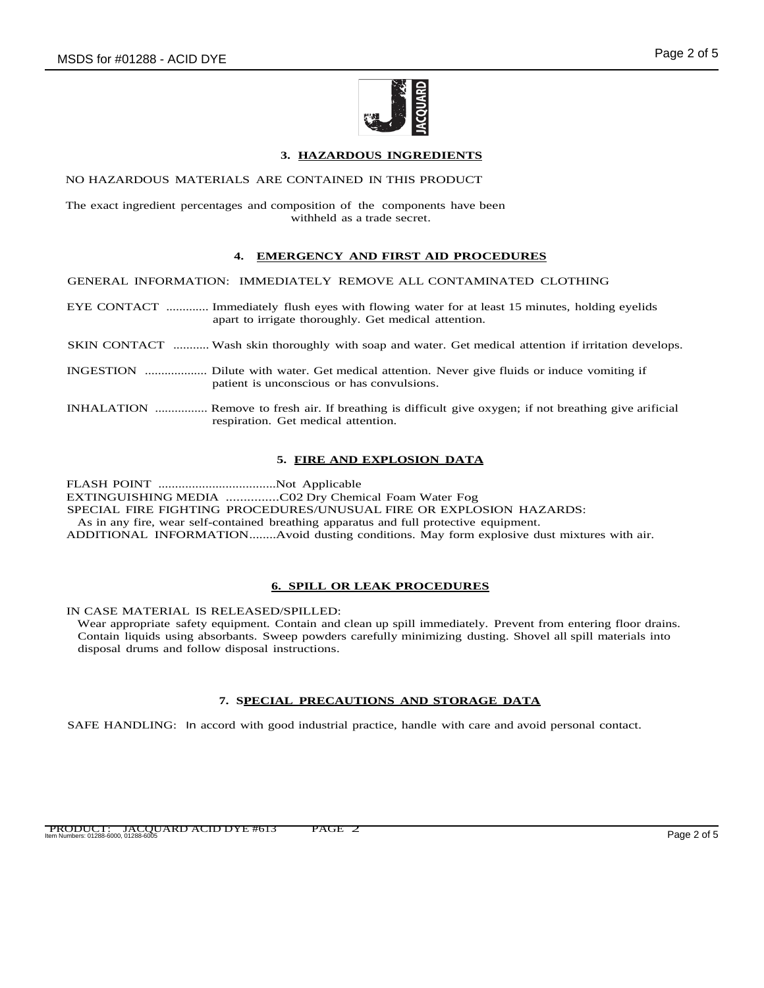

# **3. HAZARDOUS INGREDIENTS**

### NO HAZARDOUS MATERIALS ARE CONTAINED IN THIS PRODUCT

The exact ingredient percentages and composition of the components have been withheld as a trade secret.

### **4. EMERGENCY AND FIRST AID PROCEDURES**

GENERAL INFORMATION: IMMEDIATELY REMOVE ALL CONTAMINATED CLOTHING

- EYE CONTACT ............. Immediately flush eyes with flowing water for at least 15 minutes, holding eyelids apart to irrigate thoroughly. Get medical attention.
- SKIN CONTACT ........... Wash skin thoroughly with soap and water. Get medical attention if irritation develops.
- INGESTION ................... Dilute with water. Get medical attention. Never give fluids or induce vomiting if patient is unconscious or has convulsions.
- INHALATION ................ Remove to fresh air. If breathing is difficult give oxygen; if not breathing give arificial respiration. Get medical attention.

### **5. FIRE AND EXPLOSION DATA**

FLASH POINT ...................................Not Applicable

EXTINGUISHING MEDIA ...............C02 Dry Chemical Foam Water Fog

SPECIAL FIRE FIGHTING PROCEDURES/UNUSUAL FIRE OR EXPLOSION HAZARDS:

As in any fire, wear self-contained breathing apparatus and full protective equipment.

ADDITIONAL INFORMATION........Avoid dusting conditions. May form explosive dust mixtures with air.

### **6. SPILL OR LEAK PROCEDURES**

IN CASE MATERIAL IS RELEASED/SPILLED:

Wear appropriate safety equipment. Contain and clean up spill immediately. Prevent from entering floor drains. Contain liquids using absorbants. Sweep powders carefully minimizing dusting. Shovel all spill materials into disposal drums and follow disposal instructions.

# **7. SPECIAL PRECAUTIONS AND STORAGE DATA**

SAFE HANDLING: In accord with good industrial practice, handle with care and avoid personal contact.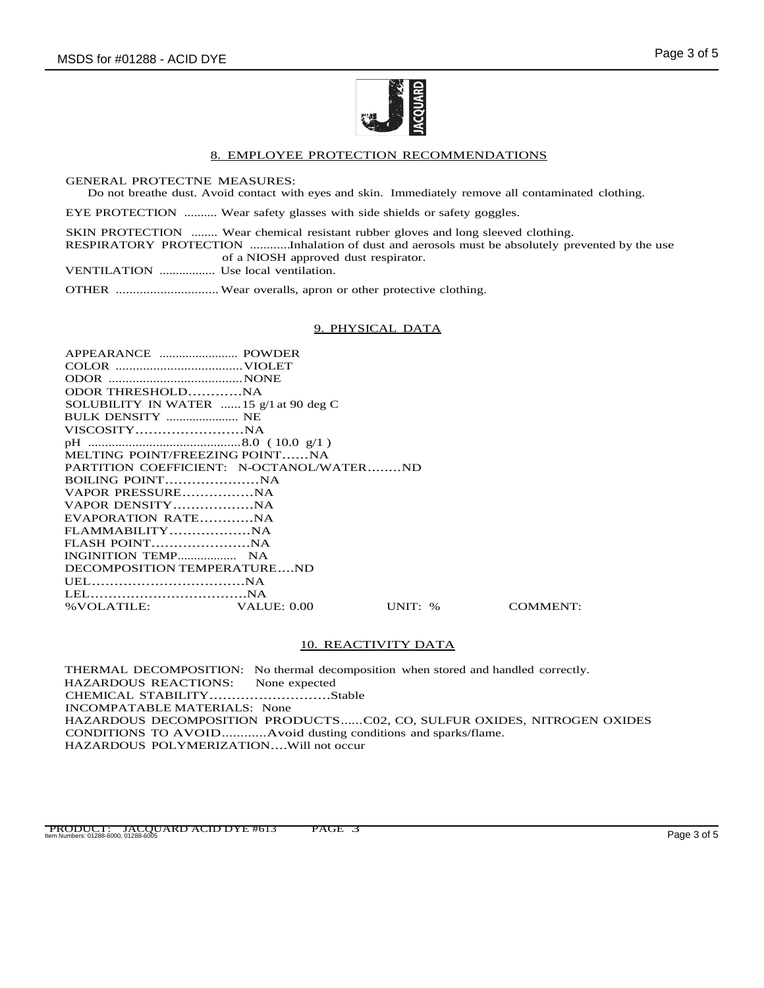

#### 8. EMPLOYEE PROTECTION RECOMMENDATIONS

GENERAL PROTECTNE MEASURES:

Do not breathe dust. Avoid contact with eyes and skin. Immediately remove all contaminated clothing.

EYE PROTECTION .......... Wear safety glasses with side shields or safety goggles.

SKIN PROTECTION ........ Wear chemical resistant rubber gloves and long sleeved clothing.

RESPIRATORY PROTECTION ............Inhalation of dust and aerosols must be absolutely prevented by the use of a NIOSH approved dust respirator.

VENTILATION ................. Use local ventilation.

OTHER .............................. Wear overalls, apron or other protective clothing.

### 9. PHYSICAL DATA

| ODOR THRESHOLDNA                                |       |
|-------------------------------------------------|-------|
| SOLUBILITY IN WATER $\ldots$ 15 g/1 at 90 deg C |       |
| BULK DENSITY  NE                                |       |
|                                                 |       |
|                                                 |       |
| MELTING POINT/FREEZING POINTNA                  |       |
| PARTITION COEFFICIENT: N-OCTANOL/WATERND        |       |
|                                                 |       |
|                                                 |       |
|                                                 |       |
| EVAPORATION RATENA                              |       |
|                                                 |       |
| FLASH POINTNA                                   |       |
|                                                 |       |
| DECOMPOSITION TEMPERATUREND                     |       |
|                                                 |       |
|                                                 |       |
| % VOLATILE: VALUE: 0.00                         | UNIT: |

% COMMENT:

# 10. REACTIVITY DATA

THERMAL DECOMPOSITION: No thermal decomposition when stored and handled correctly. HAZARDOUS REACTIONS: CHEMICAL STABILITY...........................Stable INCOMPATABLE MATERIALS: None HAZARDOUS DECOMPOSITION PRODUCTS......C02, CO, SULFUR OXIDES, NITROGEN OXIDES CONDITIONS TO AVOID............Avoid dusting conditions and sparks/flame. HAZARDOUS POLYMERIZATION....Will not occur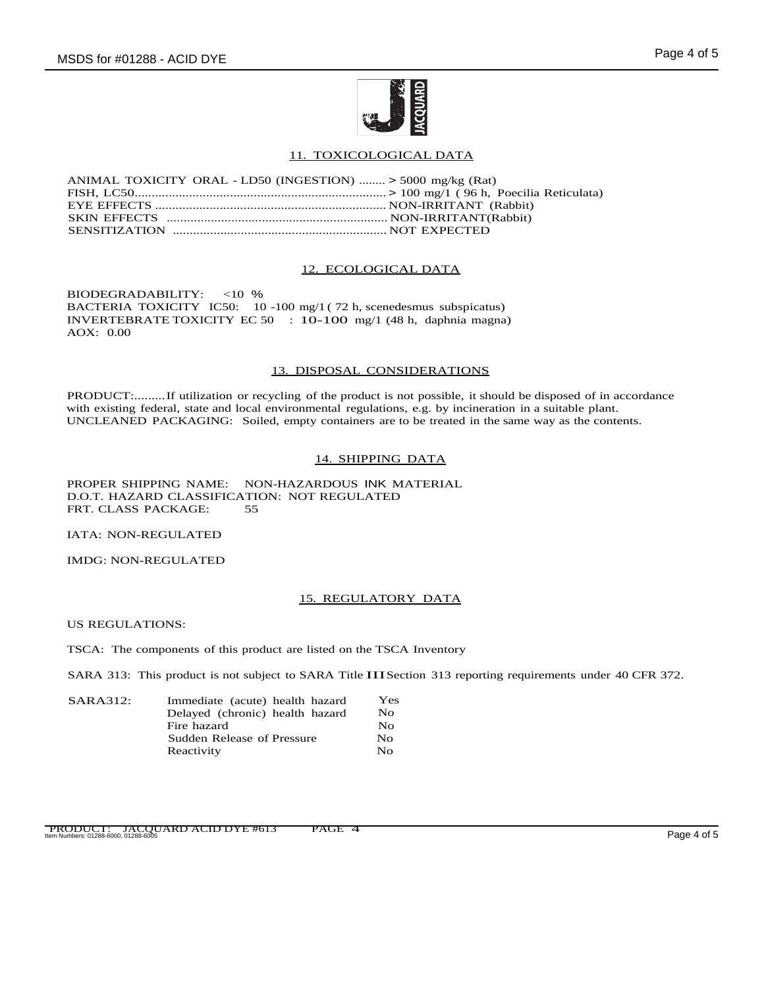

# 11. TOXICOLOGICAL DATA

| ANIMAL TOXICITY ORAL - LD50 (INGESTION)  > 5000 mg/kg (Rat) |  |
|-------------------------------------------------------------|--|
|                                                             |  |
|                                                             |  |
|                                                             |  |
|                                                             |  |

### 12. ECOLOGICAL DATA

BIODEGRADABILITY: <10 % BACTERIA TOXICITY IC50: 10 -100 mg/1 ( 72 h, scenedesmus subspicatus) INVERTEBRATE TOXICITY EC 50 : 10-100 mg/1 (48 h, daphnia magna) AOX: 0.00

### 13. DISPOSAL CONSIDERATIONS

PRODUCT:.........If utilization or recycling of the product is not possible, it should be disposed of in accordance with existing federal, state and local environmental regulations, e.g. by incineration in a suitable plant. UNCLEANED PACKAGING: Soiled, empty containers are to be treated in the same way as the contents.

# 14. SHIPPING DATA

PROPER SHIPPING NAME: NON-HAZARDOUS INK MATERIAL D.O.T. HAZARD CLASSIFICATION: NOT REGULATED<br>FRT CLASS PACKAGE: 55 FRT. CLASS PACKAGE:

IATA: NON-REGULATED

IMDG: NON-REGULATED

# 15. REGULATORY DATA

US REGULATIONS:

TSCA: The components of this product are listed on the TSCA Inventory

SARA 313: This product is not subject to SARA Title IIISection 313 reporting requirements under 40 CFR 372.

| SARA312: | Immediate (acute) health hazard | $\rm Yes$    |
|----------|---------------------------------|--------------|
|          | Delayed (chronic) health hazard | No.          |
|          | Fire hazard                     | No           |
|          | Sudden Release of Pressure      | No           |
|          | Reactivity                      | $N_{\Omega}$ |